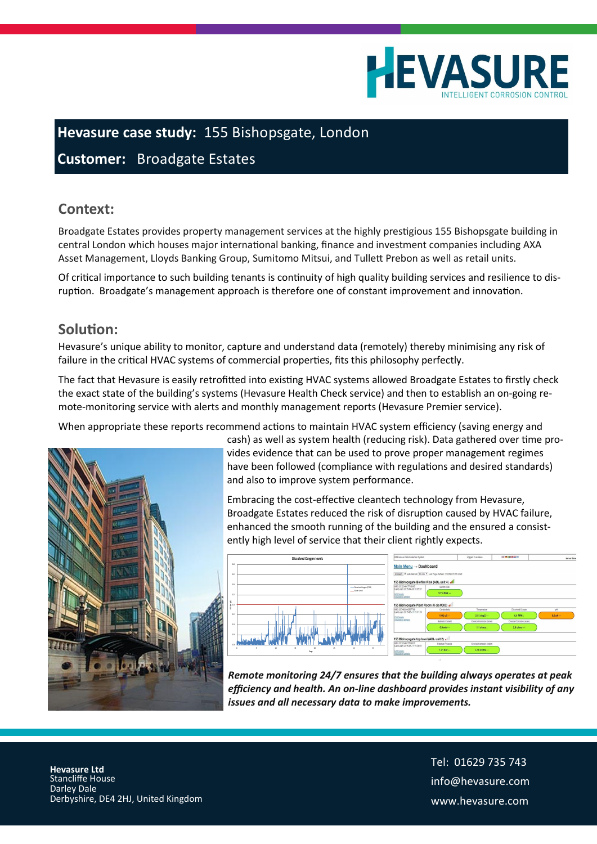

## **Hevasure case study:** 155 Bishopsgate, London

### **Customer:** Broadgate Estates

#### **Context:**

Broadgate Estates provides property management services at the highly prestigious 155 Bishopsgate building in central London which houses major international banking, finance and investment companies including AXA Asset Management, Lloyds Banking Group, Sumitomo Mitsui, and Tullett Prebon as well as retail units.

Of critical importance to such building tenants is continuity of high quality building services and resilience to disruption. Broadgate's management approach is therefore one of constant improvement and innovation.

#### **Solution:**

Hevasure's unique ability to monitor, capture and understand data (remotely) thereby minimising any risk of failure in the critical HVAC systems of commercial properties, fits this philosophy perfectly.

The fact that Hevasure is easily retrofitted into existing HVAC systems allowed Broadgate Estates to firstly check the exact state of the building's systems (Hevasure Health Check service) and then to establish an on-going remote-monitoring service with alerts and monthly management reports (Hevasure Premier service).

When appropriate these reports recommend actions to maintain HVAC system efficiency (saving energy and



cash) as well as system health (reducing risk). Data gathered over time provides evidence that can be used to prove proper management regimes have been followed (compliance with regulations and desired standards) and also to improve system performance.

Embracing the cost-effective cleantech technology from Hevasure, Broadgate Estates reduced the risk of disruption caused by HVAC failure, enhanced the smooth running of the building and the ensured a consistently high level of service that their client rightly expects.



*Remote monitoring 24/7 ensures that the building always operates at peak efficiency and health. An on-line dashboard provides instant visibility of any issues and all necessary data to make improvements.*

 **Hevasure Ltd** Stancliffe House Darley Dale Derbyshire, DE4 2HJ, United Kingdom Tel: 01629 735 743 info@hevasure.com www.hevasure.com